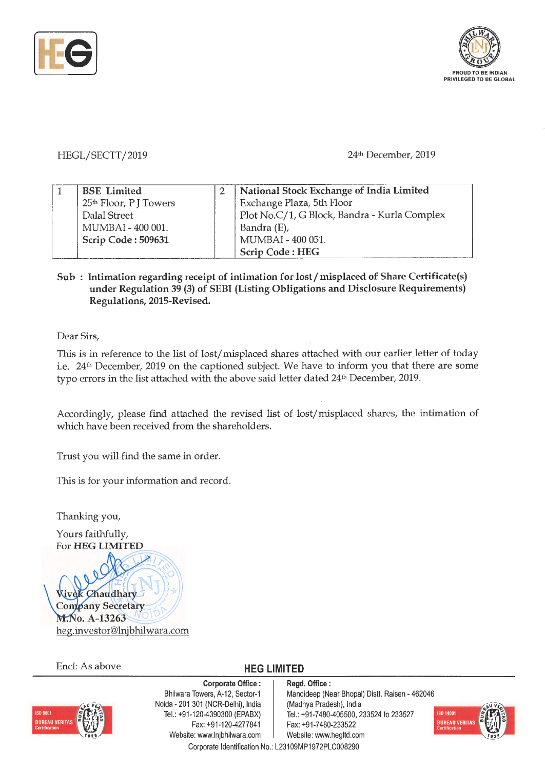



## HEGL/SECTT/2019

## 24th December, 2019

| <b>BSE</b> Limited                | National Stock Exchange of India Limited     |  |
|-----------------------------------|----------------------------------------------|--|
| 25 <sup>th</sup> Floor, PJ Towers | Exchange Plaza, 5th Floor                    |  |
| Dalal Street                      | Plot No.C/1, G Block, Bandra - Kurla Complex |  |
| MUMBAI - 400 001.                 | Bandra (E),                                  |  |
| Scrip Code: 509631                | MUMBAI - 400 051.                            |  |
|                                   | Scrip Code: HEG                              |  |

## Sub : Intimation regarding receipt of intimation for lost / misplaced of Share Certificate(s) **under Regulation 39 (3) of SEBI (Listing Obligations and Disclosure Requirements) Regulations, 2015-Revised.**

Dear Sirs,

This is in reference to the list of lost/ misplaced shares attached with our earlier letter of today i.e. 24<sup>th</sup> December, 2019 on the captioned subject. We have to inform you that there are some typo errors in the list attached with the above said letter dated 24th December, 2019.

Accordingly, please find attached the revised list of lost/misplaced shares, the intimation of which have been received from the shareholders.

Trust you will find the same in order.

This is for your information and record.

Thanking you,

Yours faithfully, For **HEG LIMITED** 

Chaudhary **Company Secretary** M.No. A-13263 heg.investor@Injbhilwara.com

Encl: As above **HEG LIMITED** 



**Corporate Office** : Bhilwara Towers, A-12, Sector-1 Naida - 201 301 (NCR-Delhi), India Tel.: +91-120-4390300 (EPABX) Fax: +91-120-4277841 Website: www.lnjbhilwara.com | Website: www.hegltd.com Corporate Identification No.: L23109MP1972PLC008290

**Regd. Office** : Mandideep (Near Bhopal) Distt. Raisen - 462046 (Madhya Pradesh), India Tel. : +91 -7480-405500, 233524 to 233527 Fax: +91-7480-233522